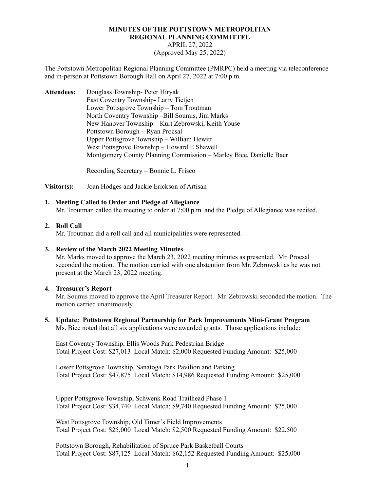# **MINUTES OF THE POTTSTOWN METROPOLITAN REGIONAL PLANNING COMMITTEE** APRIL 27, 2022 (Approved May 25, 2022)

The Pottstown Metropolitan Regional Planning Committee (PMRPC) held a meeting via teleconference and in-person at Pottstown Borough Hall on April 27, 2022 at 7:00 p.m.

**Attendees:** Douglass Township- Peter Hiryak East Coventry Township- Larry Tietjen Lower Pottsgrove Township – Tom Troutman North Coventry Township –Bill Soumis, Jim Marks New Hanover Township – Kurt Zebrowski, Keith Youse Pottstown Borough – Ryan Procsal Upper Pottsgrove Township – William Hewitt West Pottsgrove Township – Howard E Shawell Montgomery County Planning Commission – Marley Bice, Danielle Baer

Recording Secretary – Bonnie L. Frisco

**Visitor(s):** Joan Hodges and Jackie Erickson of Artisan

## **1. Meeting Called to Order and Pledge of Allegiance**

Mr. Troutman called the meeting to order at 7:00 p.m. and the Pledge of Allegiance was recited.

## **2. Roll Call**

Mr. Troutman did a roll call and all municipalities were represented.

#### **3. Review of the March 2022 Meeting Minutes**

Mr. Marks moved to approve the March 23, 2022 meeting minutes as presented. Mr. Procsal seconded the motion. The motion carried with one abstention from Mr. Zebrowski as he was not present at the March 23, 2022 meeting.

#### **4. Treasurer's Report**

Mr. Soumis moved to approve the April Treasurer Report. Mr. Zebrowski seconded the motion. The motion carried unanimously.

**5. Update: Pottstown Regional Partnership for Park Improvements Mini-Grant Program** Ms. Bice noted that all six applications were awarded grants. Those applications include:

East Coventry Township, Ellis Woods Park Pedestrian Bridge Total Project Cost: \$27,013 Local Match: \$2,000 Requested Funding Amount: \$25,000

Lower Pottsgrove Township, Sanatoga Park Pavilion and Parking Total Project Cost: \$47,875 Local Match: \$14,986 Requested Funding Amount: \$25,000

Upper Pottsgrove Township, Schwenk Road Trailhead Phase 1 Total Project Cost: \$34,740 Local Match: \$9,740 Requested Funding Amount: \$25,000

West Pottsgrove Township, Old Timer's Field Improvements Total Project Cost: \$25,000 Local Match: \$2,500 Requested Funding Amount: \$22,500

Pottstown Borough, Rehabilitation of Spruce Park Basketball Courts Total Project Cost: \$87,125 Local Match: \$62,152 Requested Funding Amount: \$25,000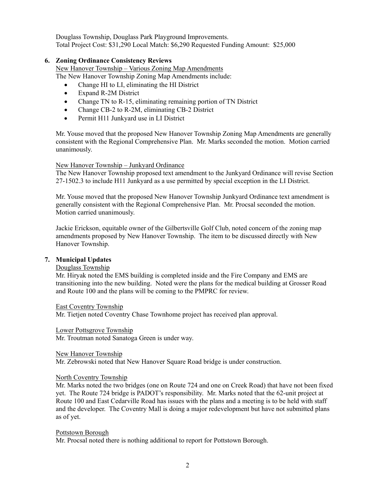Douglass Township, Douglass Park Playground Improvements. Total Project Cost: \$31,290 Local Match: \$6,290 Requested Funding Amount: \$25,000

## **6. Zoning Ordinance Consistency Reviews**

New Hanover Township – Various Zoning Map Amendments The New Hanover Township Zoning Map Amendments include:

- Change HI to LI, eliminating the HI District
- Expand R-2M District
- Change TN to R-15, eliminating remaining portion of TN District
- Change CB-2 to R-2M, eliminating CB-2 District
- Permit H11 Junkyard use in LI District

Mr. Youse moved that the proposed New Hanover Township Zoning Map Amendments are generally consistent with the Regional Comprehensive Plan. Mr. Marks seconded the motion. Motion carried unanimously.

## New Hanover Township – Junkyard Ordinance

The New Hanover Township proposed text amendment to the Junkyard Ordinance will revise Section 27-1502.3 to include H11 Junkyard as a use permitted by special exception in the LI District.

Mr. Youse moved that the proposed New Hanover Township Junkyard Ordinance text amendment is generally consistent with the Regional Comprehensive Plan. Mr. Procsal seconded the motion. Motion carried unanimously.

Jackie Erickson, equitable owner of the Gilbertsville Golf Club, noted concern of the zoning map amendments proposed by New Hanover Township. The item to be discussed directly with New Hanover Township.

## **7. Municipal Updates**

## Douglass Township

Mr. Hiryak noted the EMS building is completed inside and the Fire Company and EMS are transitioning into the new building. Noted were the plans for the medical building at Grosser Road and Route 100 and the plans will be coming to the PMPRC for review.

#### East Coventry Township

Mr. Tietjen noted Coventry Chase Townhome project has received plan approval.

#### Lower Pottsgrove Township

Mr. Troutman noted Sanatoga Green is under way.

#### New Hanover Township

Mr. Zebrowski noted that New Hanover Square Road bridge is under construction.

#### North Coventry Township

Mr. Marks noted the two bridges (one on Route 724 and one on Creek Road) that have not been fixed yet. The Route 724 bridge is PADOT's responsibility. Mr. Marks noted that the 62-unit project at Route 100 and East Cedarville Road has issues with the plans and a meeting is to be held with staff and the developer. The Coventry Mall is doing a major redevelopment but have not submitted plans as of yet.

#### Pottstown Borough

Mr. Procsal noted there is nothing additional to report for Pottstown Borough.